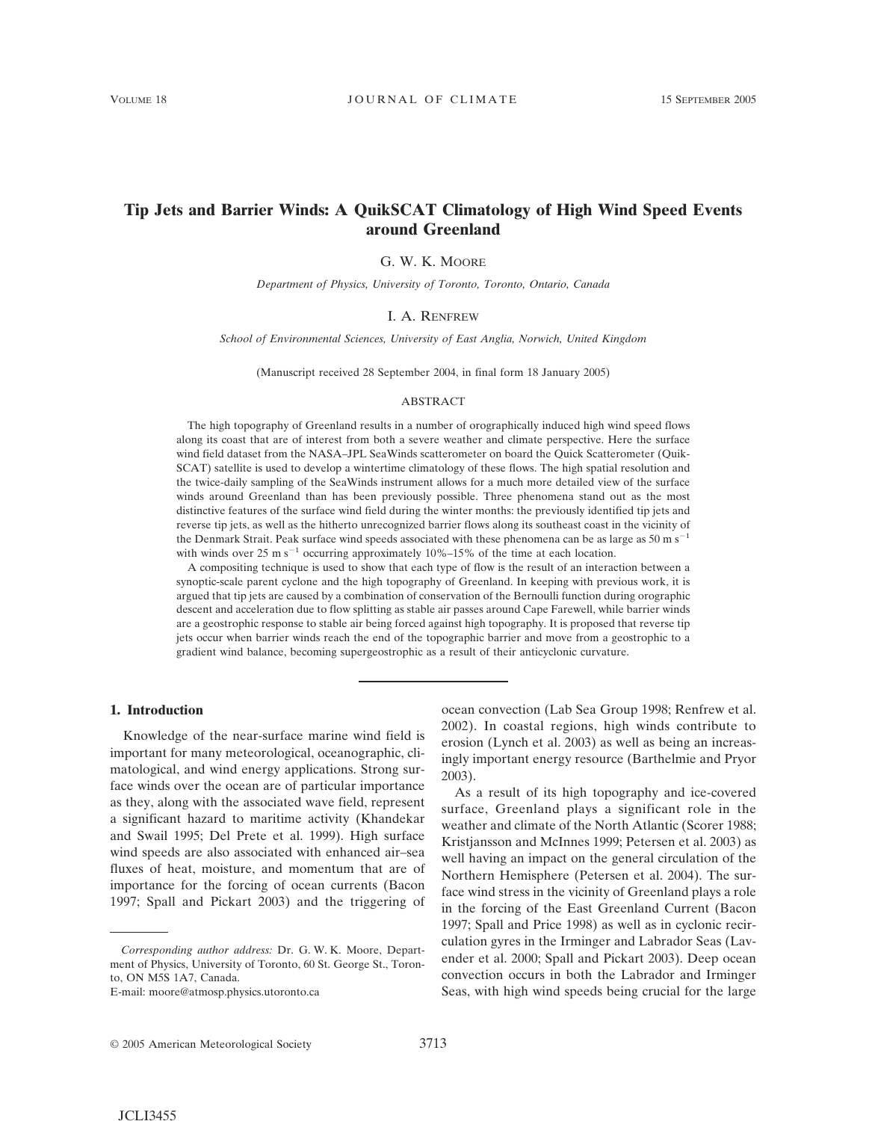# **Tip Jets and Barrier Winds: A QuikSCAT Climatology of High Wind Speed Events around Greenland**

G. W. K. MOORE

*Department of Physics, University of Toronto, Toronto, Ontario, Canada*

### I. A. RENFREW

*School of Environmental Sciences, University of East Anglia, Norwich, United Kingdom*

(Manuscript received 28 September 2004, in final form 18 January 2005)

#### ABSTRACT

The high topography of Greenland results in a number of orographically induced high wind speed flows along its coast that are of interest from both a severe weather and climate perspective. Here the surface wind field dataset from the NASA–JPL SeaWinds scatterometer on board the Quick Scatterometer (Quik-SCAT) satellite is used to develop a wintertime climatology of these flows. The high spatial resolution and the twice-daily sampling of the SeaWinds instrument allows for a much more detailed view of the surface winds around Greenland than has been previously possible. Three phenomena stand out as the most distinctive features of the surface wind field during the winter months: the previously identified tip jets and reverse tip jets, as well as the hitherto unrecognized barrier flows along its southeast coast in the vicinity of the Denmark Strait. Peak surface wind speeds associated with these phenomena can be as large as 50 m  $s^{-1}$ with winds over 25 m  $s^{-1}$  occurring approximately 10%–15% of the time at each location.

A compositing technique is used to show that each type of flow is the result of an interaction between a synoptic-scale parent cyclone and the high topography of Greenland. In keeping with previous work, it is argued that tip jets are caused by a combination of conservation of the Bernoulli function during orographic descent and acceleration due to flow splitting as stable air passes around Cape Farewell, while barrier winds are a geostrophic response to stable air being forced against high topography. It is proposed that reverse tip jets occur when barrier winds reach the end of the topographic barrier and move from a geostrophic to a gradient wind balance, becoming supergeostrophic as a result of their anticyclonic curvature.

#### **1. Introduction**

Knowledge of the near-surface marine wind field is important for many meteorological, oceanographic, climatological, and wind energy applications. Strong surface winds over the ocean are of particular importance as they, along with the associated wave field, represent a significant hazard to maritime activity (Khandekar and Swail 1995; Del Prete et al. 1999). High surface wind speeds are also associated with enhanced air–sea fluxes of heat, moisture, and momentum that are of importance for the forcing of ocean currents (Bacon 1997; Spall and Pickart 2003) and the triggering of ocean convection (Lab Sea Group 1998; Renfrew et al. 2002). In coastal regions, high winds contribute to erosion (Lynch et al. 2003) as well as being an increasingly important energy resource (Barthelmie and Pryor 2003).

As a result of its high topography and ice-covered surface, Greenland plays a significant role in the weather and climate of the North Atlantic (Scorer 1988; Kristjansson and McInnes 1999; Petersen et al. 2003) as well having an impact on the general circulation of the Northern Hemisphere (Petersen et al. 2004). The surface wind stress in the vicinity of Greenland plays a role in the forcing of the East Greenland Current (Bacon 1997; Spall and Price 1998) as well as in cyclonic recirculation gyres in the Irminger and Labrador Seas (Lavender et al. 2000; Spall and Pickart 2003). Deep ocean convection occurs in both the Labrador and Irminger Seas, with high wind speeds being crucial for the large

*Corresponding author address:* Dr. G. W. K. Moore, Department of Physics, University of Toronto, 60 St. George St., Toronto, ON M5S 1A7, Canada.

E-mail: moore@atmosp.physics.utoronto.ca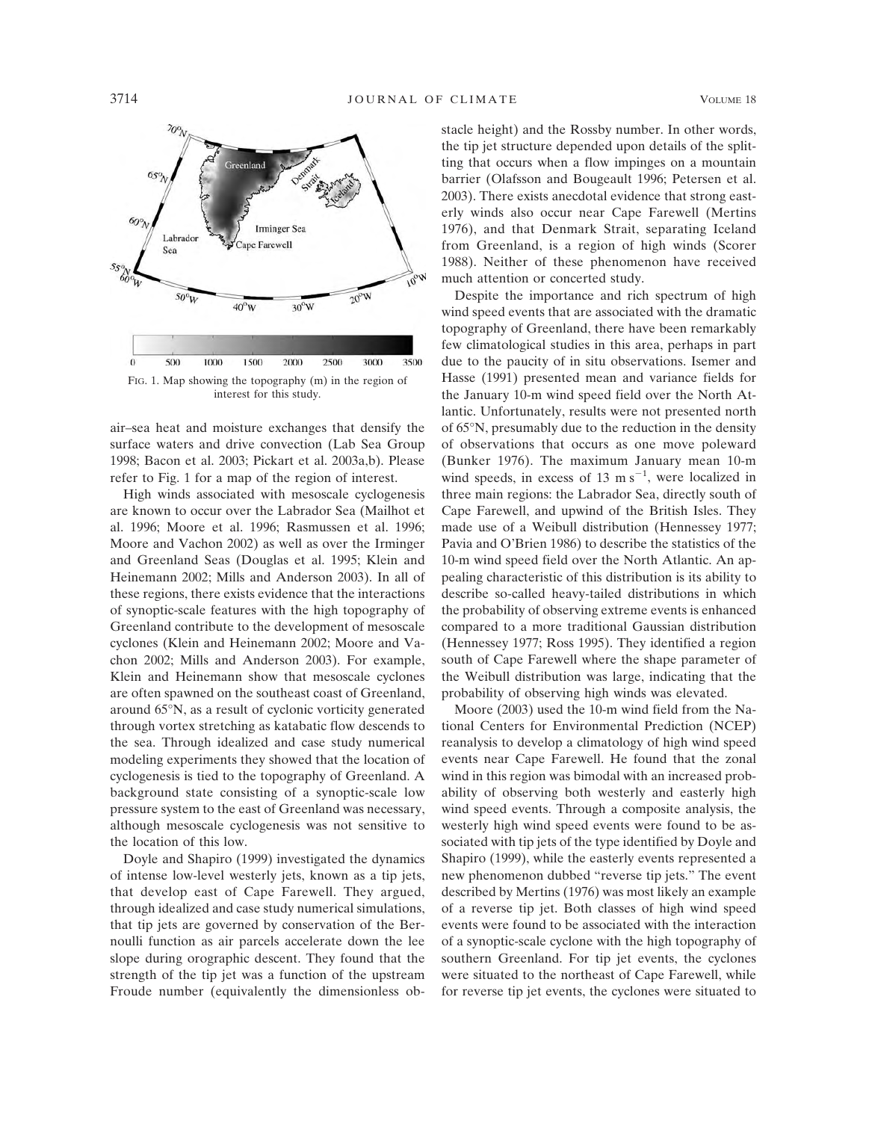

air–sea heat and moisture exchanges that densify the surface waters and drive convection (Lab Sea Group 1998; Bacon et al. 2003; Pickart et al. 2003a,b). Please refer to Fig. 1 for a map of the region of interest.

High winds associated with mesoscale cyclogenesis are known to occur over the Labrador Sea (Mailhot et al. 1996; Moore et al. 1996; Rasmussen et al. 1996; Moore and Vachon 2002) as well as over the Irminger and Greenland Seas (Douglas et al. 1995; Klein and Heinemann 2002; Mills and Anderson 2003). In all of these regions, there exists evidence that the interactions of synoptic-scale features with the high topography of Greenland contribute to the development of mesoscale cyclones (Klein and Heinemann 2002; Moore and Vachon 2002; Mills and Anderson 2003). For example, Klein and Heinemann show that mesoscale cyclones are often spawned on the southeast coast of Greenland, around 65°N, as a result of cyclonic vorticity generated through vortex stretching as katabatic flow descends to the sea. Through idealized and case study numerical modeling experiments they showed that the location of cyclogenesis is tied to the topography of Greenland. A background state consisting of a synoptic-scale low pressure system to the east of Greenland was necessary, although mesoscale cyclogenesis was not sensitive to the location of this low.

Doyle and Shapiro (1999) investigated the dynamics of intense low-level westerly jets, known as a tip jets, that develop east of Cape Farewell. They argued, through idealized and case study numerical simulations, that tip jets are governed by conservation of the Bernoulli function as air parcels accelerate down the lee slope during orographic descent. They found that the strength of the tip jet was a function of the upstream Froude number (equivalently the dimensionless obstacle height) and the Rossby number. In other words, the tip jet structure depended upon details of the splitting that occurs when a flow impinges on a mountain barrier (Olafsson and Bougeault 1996; Petersen et al. 2003). There exists anecdotal evidence that strong easterly winds also occur near Cape Farewell (Mertins 1976), and that Denmark Strait, separating Iceland from Greenland, is a region of high winds (Scorer 1988). Neither of these phenomenon have received much attention or concerted study.

Despite the importance and rich spectrum of high wind speed events that are associated with the dramatic topography of Greenland, there have been remarkably few climatological studies in this area, perhaps in part due to the paucity of in situ observations. Isemer and Hasse (1991) presented mean and variance fields for the January 10-m wind speed field over the North Atlantic. Unfortunately, results were not presented north of 65°N, presumably due to the reduction in the density of observations that occurs as one move poleward (Bunker 1976). The maximum January mean 10-m wind speeds, in excess of 13 m  $s^{-1}$ , were localized in three main regions: the Labrador Sea, directly south of Cape Farewell, and upwind of the British Isles. They made use of a Weibull distribution (Hennessey 1977; Pavia and O'Brien 1986) to describe the statistics of the 10-m wind speed field over the North Atlantic. An appealing characteristic of this distribution is its ability to describe so-called heavy-tailed distributions in which the probability of observing extreme events is enhanced compared to a more traditional Gaussian distribution (Hennessey 1977; Ross 1995). They identified a region south of Cape Farewell where the shape parameter of the Weibull distribution was large, indicating that the probability of observing high winds was elevated.

Moore (2003) used the 10-m wind field from the National Centers for Environmental Prediction (NCEP) reanalysis to develop a climatology of high wind speed events near Cape Farewell. He found that the zonal wind in this region was bimodal with an increased probability of observing both westerly and easterly high wind speed events. Through a composite analysis, the westerly high wind speed events were found to be associated with tip jets of the type identified by Doyle and Shapiro (1999), while the easterly events represented a new phenomenon dubbed "reverse tip jets." The event described by Mertins (1976) was most likely an example of a reverse tip jet. Both classes of high wind speed events were found to be associated with the interaction of a synoptic-scale cyclone with the high topography of southern Greenland. For tip jet events, the cyclones were situated to the northeast of Cape Farewell, while for reverse tip jet events, the cyclones were situated to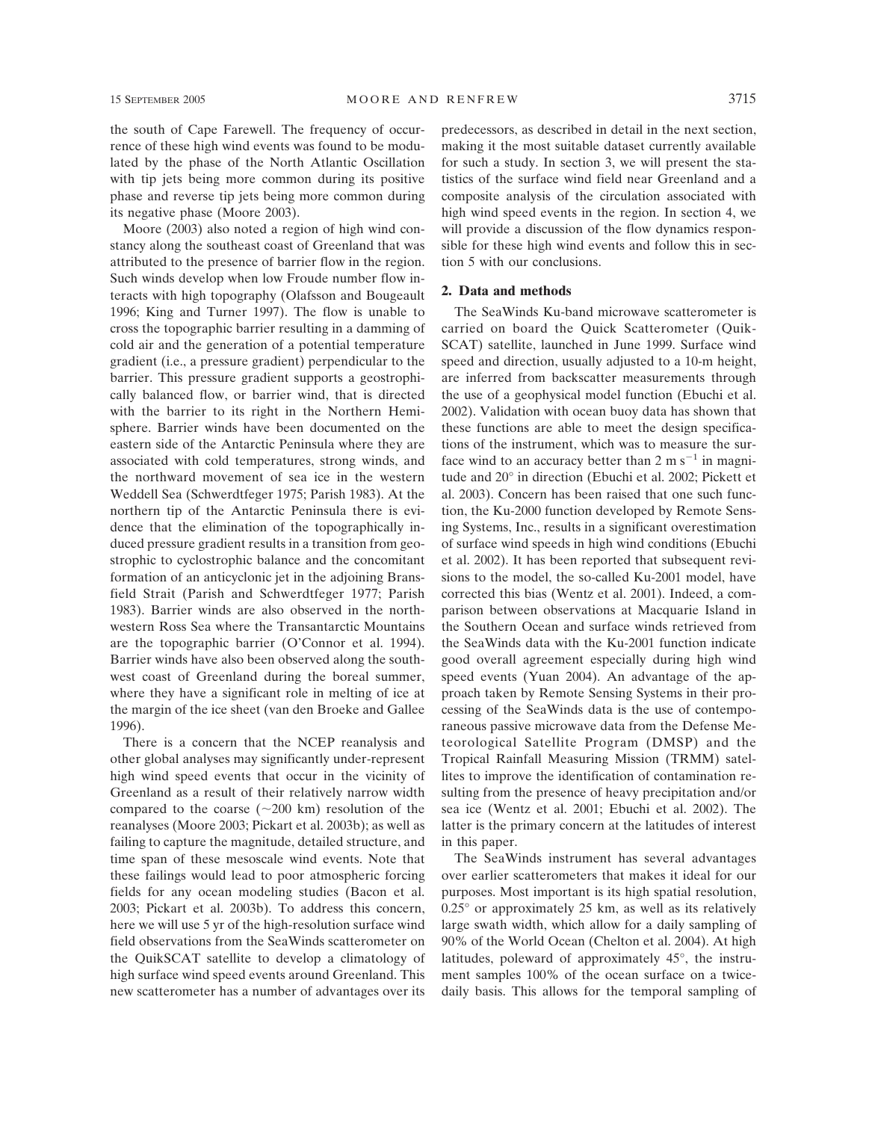the south of Cape Farewell. The frequency of occurrence of these high wind events was found to be modulated by the phase of the North Atlantic Oscillation with tip jets being more common during its positive phase and reverse tip jets being more common during its negative phase (Moore 2003).

Moore (2003) also noted a region of high wind constancy along the southeast coast of Greenland that was attributed to the presence of barrier flow in the region. Such winds develop when low Froude number flow interacts with high topography (Olafsson and Bougeault 1996; King and Turner 1997). The flow is unable to cross the topographic barrier resulting in a damming of cold air and the generation of a potential temperature gradient (i.e., a pressure gradient) perpendicular to the barrier. This pressure gradient supports a geostrophically balanced flow, or barrier wind, that is directed with the barrier to its right in the Northern Hemisphere. Barrier winds have been documented on the eastern side of the Antarctic Peninsula where they are associated with cold temperatures, strong winds, and the northward movement of sea ice in the western Weddell Sea (Schwerdtfeger 1975; Parish 1983). At the northern tip of the Antarctic Peninsula there is evidence that the elimination of the topographically induced pressure gradient results in a transition from geostrophic to cyclostrophic balance and the concomitant formation of an anticyclonic jet in the adjoining Bransfield Strait (Parish and Schwerdtfeger 1977; Parish 1983). Barrier winds are also observed in the northwestern Ross Sea where the Transantarctic Mountains are the topographic barrier (O'Connor et al. 1994). Barrier winds have also been observed along the southwest coast of Greenland during the boreal summer, where they have a significant role in melting of ice at the margin of the ice sheet (van den Broeke and Gallee 1996).

There is a concern that the NCEP reanalysis and other global analyses may significantly under-represent high wind speed events that occur in the vicinity of Greenland as a result of their relatively narrow width compared to the coarse  $(\sim 200 \text{ km})$  resolution of the reanalyses (Moore 2003; Pickart et al. 2003b); as well as failing to capture the magnitude, detailed structure, and time span of these mesoscale wind events. Note that these failings would lead to poor atmospheric forcing fields for any ocean modeling studies (Bacon et al. 2003; Pickart et al. 2003b). To address this concern, here we will use 5 yr of the high-resolution surface wind field observations from the SeaWinds scatterometer on the QuikSCAT satellite to develop a climatology of high surface wind speed events around Greenland. This new scatterometer has a number of advantages over its

predecessors, as described in detail in the next section, making it the most suitable dataset currently available for such a study. In section 3, we will present the statistics of the surface wind field near Greenland and a composite analysis of the circulation associated with high wind speed events in the region. In section 4, we will provide a discussion of the flow dynamics responsible for these high wind events and follow this in section 5 with our conclusions.

## **2. Data and methods**

The SeaWinds Ku-band microwave scatterometer is carried on board the Quick Scatterometer (Quik-SCAT) satellite, launched in June 1999. Surface wind speed and direction, usually adjusted to a 10-m height, are inferred from backscatter measurements through the use of a geophysical model function (Ebuchi et al. 2002). Validation with ocean buoy data has shown that these functions are able to meet the design specifications of the instrument, which was to measure the surface wind to an accuracy better than  $2 \text{ m s}^{-1}$  in magnitude and 20° in direction (Ebuchi et al. 2002; Pickett et al. 2003). Concern has been raised that one such function, the Ku-2000 function developed by Remote Sensing Systems, Inc., results in a significant overestimation of surface wind speeds in high wind conditions (Ebuchi et al. 2002). It has been reported that subsequent revisions to the model, the so-called Ku-2001 model, have corrected this bias (Wentz et al. 2001). Indeed, a comparison between observations at Macquarie Island in the Southern Ocean and surface winds retrieved from the SeaWinds data with the Ku-2001 function indicate good overall agreement especially during high wind speed events (Yuan 2004). An advantage of the approach taken by Remote Sensing Systems in their processing of the SeaWinds data is the use of contemporaneous passive microwave data from the Defense Meteorological Satellite Program (DMSP) and the Tropical Rainfall Measuring Mission (TRMM) satellites to improve the identification of contamination resulting from the presence of heavy precipitation and/or sea ice (Wentz et al. 2001; Ebuchi et al. 2002). The latter is the primary concern at the latitudes of interest in this paper.

The SeaWinds instrument has several advantages over earlier scatterometers that makes it ideal for our purposes. Most important is its high spatial resolution, 0.25° or approximately 25 km, as well as its relatively large swath width, which allow for a daily sampling of 90% of the World Ocean (Chelton et al. 2004). At high latitudes, poleward of approximately 45°, the instrument samples 100% of the ocean surface on a twicedaily basis. This allows for the temporal sampling of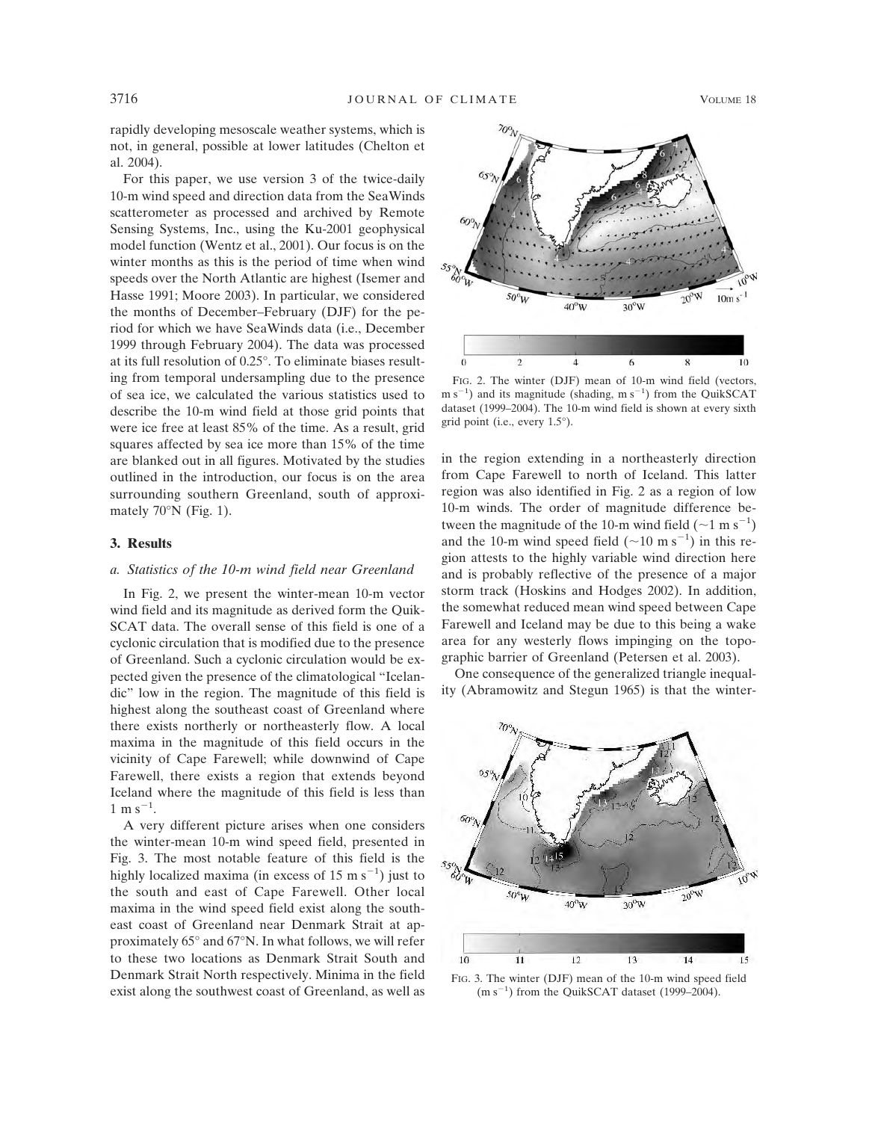rapidly developing mesoscale weather systems, which is not, in general, possible at lower latitudes (Chelton et al. 2004).

For this paper, we use version 3 of the twice-daily 10-m wind speed and direction data from the SeaWinds scatterometer as processed and archived by Remote Sensing Systems, Inc., using the Ku-2001 geophysical model function (Wentz et al., 2001). Our focus is on the winter months as this is the period of time when wind speeds over the North Atlantic are highest (Isemer and Hasse 1991; Moore 2003). In particular, we considered the months of December–February (DJF) for the period for which we have SeaWinds data (i.e., December 1999 through February 2004). The data was processed at its full resolution of 0.25°. To eliminate biases resulting from temporal undersampling due to the presence of sea ice, we calculated the various statistics used to describe the 10-m wind field at those grid points that were ice free at least 85% of the time. As a result, grid squares affected by sea ice more than 15% of the time are blanked out in all figures. Motivated by the studies outlined in the introduction, our focus is on the area surrounding southern Greenland, south of approximately 70°N (Fig. 1).

### **3. Results**

#### *a. Statistics of the 10-m wind field near Greenland*

In Fig. 2, we present the winter-mean 10-m vector wind field and its magnitude as derived form the Quik-SCAT data. The overall sense of this field is one of a cyclonic circulation that is modified due to the presence of Greenland. Such a cyclonic circulation would be expected given the presence of the climatological "Icelandic" low in the region. The magnitude of this field is highest along the southeast coast of Greenland where there exists northerly or northeasterly flow. A local maxima in the magnitude of this field occurs in the vicinity of Cape Farewell; while downwind of Cape Farewell, there exists a region that extends beyond Iceland where the magnitude of this field is less than  $1 \text{ m s}^{-1}$ .

A very different picture arises when one considers the winter-mean 10-m wind speed field, presented in Fig. 3. The most notable feature of this field is the highly localized maxima (in excess of  $15 \text{ m s}^{-1}$ ) just to the south and east of Cape Farewell. Other local maxima in the wind speed field exist along the southeast coast of Greenland near Denmark Strait at approximately 65° and 67°N. In what follows, we will refer to these two locations as Denmark Strait South and Denmark Strait North respectively. Minima in the field exist along the southwest coast of Greenland, as well as



FIG. 2. The winter (DJF) mean of 10-m wind field (vectors,  $\text{m s}^{-1}$ ) and its magnitude (shading,  $\text{m s}^{-1}$ ) from the QuikSCAT dataset (1999–2004). The 10-m wind field is shown at every sixth grid point (i.e., every 1.5°).

in the region extending in a northeasterly direction from Cape Farewell to north of Iceland. This latter region was also identified in Fig. 2 as a region of low 10-m winds. The order of magnitude difference between the magnitude of the 10-m wind field  $({\sim}1 \text{ m s}^{-1})$ and the 10-m wind speed field  $({\sim}10 \text{ m s}^{-1})$  in this region attests to the highly variable wind direction here and is probably reflective of the presence of a major storm track (Hoskins and Hodges 2002). In addition, the somewhat reduced mean wind speed between Cape Farewell and Iceland may be due to this being a wake area for any westerly flows impinging on the topographic barrier of Greenland (Petersen et al. 2003).

One consequence of the generalized triangle inequality (Abramowitz and Stegun 1965) is that the winter-



FIG. 3. The winter (DJF) mean of the 10-m wind speed field  $(m s<sup>-1</sup>)$  from the QuikSCAT dataset (1999–2004).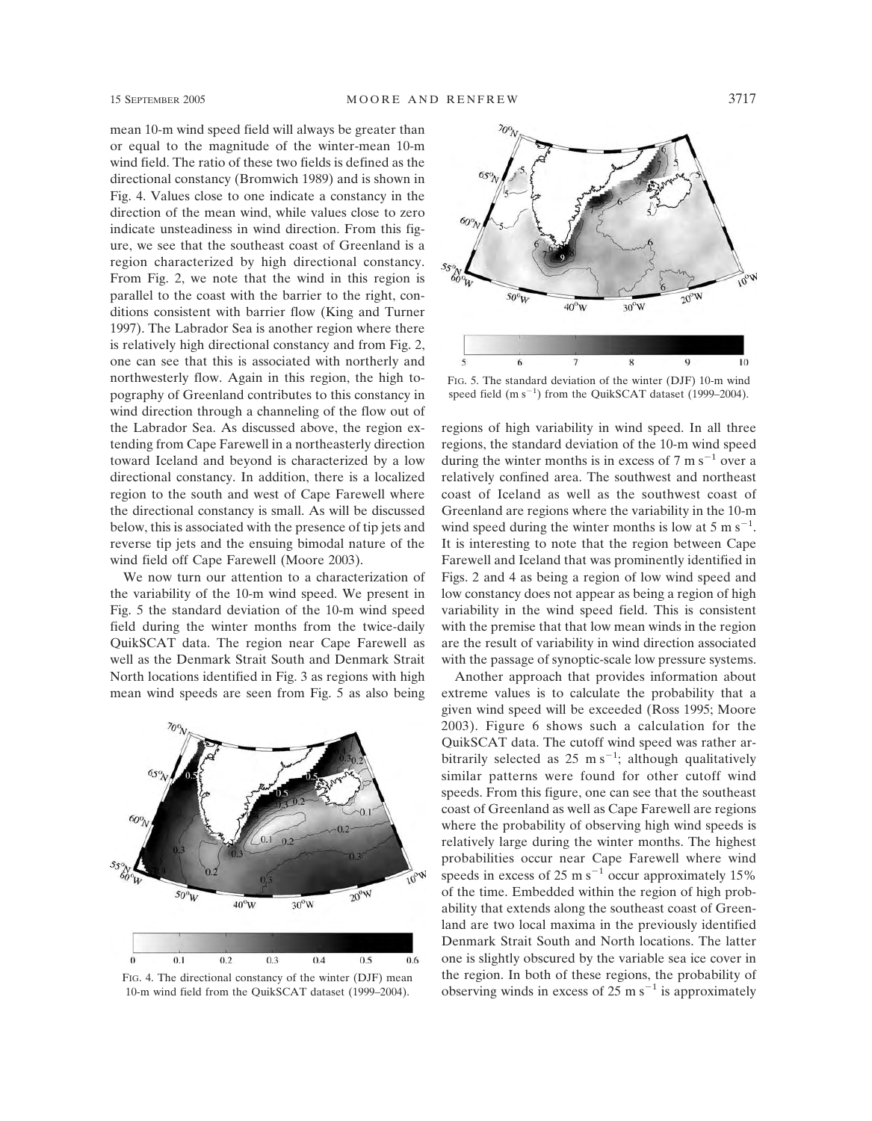mean 10-m wind speed field will always be greater than or equal to the magnitude of the winter-mean 10-m wind field. The ratio of these two fields is defined as the directional constancy (Bromwich 1989) and is shown in Fig. 4. Values close to one indicate a constancy in the direction of the mean wind, while values close to zero indicate unsteadiness in wind direction. From this figure, we see that the southeast coast of Greenland is a region characterized by high directional constancy. From Fig. 2, we note that the wind in this region is parallel to the coast with the barrier to the right, conditions consistent with barrier flow (King and Turner 1997). The Labrador Sea is another region where there is relatively high directional constancy and from Fig. 2, one can see that this is associated with northerly and northwesterly flow. Again in this region, the high topography of Greenland contributes to this constancy in wind direction through a channeling of the flow out of the Labrador Sea. As discussed above, the region extending from Cape Farewell in a northeasterly direction toward Iceland and beyond is characterized by a low directional constancy. In addition, there is a localized region to the south and west of Cape Farewell where the directional constancy is small. As will be discussed below, this is associated with the presence of tip jets and reverse tip jets and the ensuing bimodal nature of the wind field off Cape Farewell (Moore 2003).

We now turn our attention to a characterization of the variability of the 10-m wind speed. We present in Fig. 5 the standard deviation of the 10-m wind speed field during the winter months from the twice-daily QuikSCAT data. The region near Cape Farewell as well as the Denmark Strait South and Denmark Strait North locations identified in Fig. 3 as regions with high mean wind speeds are seen from Fig. 5 as also being



FIG. 4. The directional constancy of the winter (DJF) mean 10-m wind field from the QuikSCAT dataset (1999–2004).



FIG. 5. The standard deviation of the winter (DJF) 10-m wind speed field  $(m s^{-1})$  from the QuikSCAT dataset (1999–2004).

regions of high variability in wind speed. In all three regions, the standard deviation of the 10-m wind speed during the winter months is in excess of  $7 \text{ m s}^{-1}$  over a relatively confined area. The southwest and northeast coast of Iceland as well as the southwest coast of Greenland are regions where the variability in the 10-m wind speed during the winter months is low at 5 m  $s^{-1}$ . It is interesting to note that the region between Cape Farewell and Iceland that was prominently identified in Figs. 2 and 4 as being a region of low wind speed and low constancy does not appear as being a region of high variability in the wind speed field. This is consistent with the premise that that low mean winds in the region are the result of variability in wind direction associated with the passage of synoptic-scale low pressure systems.

Another approach that provides information about extreme values is to calculate the probability that a given wind speed will be exceeded (Ross 1995; Moore 2003). Figure 6 shows such a calculation for the QuikSCAT data. The cutoff wind speed was rather arbitrarily selected as  $25 \text{ m s}^{-1}$ ; although qualitatively similar patterns were found for other cutoff wind speeds. From this figure, one can see that the southeast coast of Greenland as well as Cape Farewell are regions where the probability of observing high wind speeds is relatively large during the winter months. The highest probabilities occur near Cape Farewell where wind speeds in excess of 25 m  $s^{-1}$  occur approximately 15% of the time. Embedded within the region of high probability that extends along the southeast coast of Greenland are two local maxima in the previously identified Denmark Strait South and North locations. The latter one is slightly obscured by the variable sea ice cover in the region. In both of these regions, the probability of observing winds in excess of 25 m  $s^{-1}$  is approximately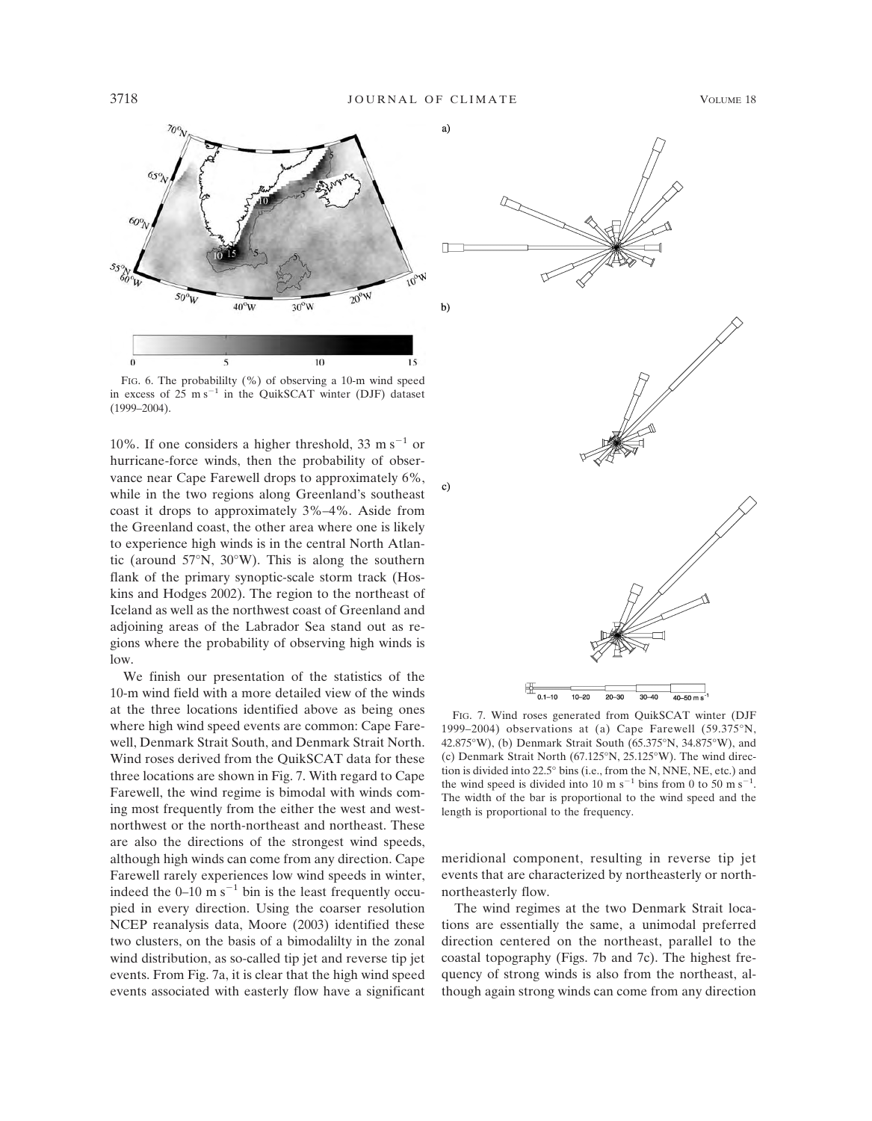

FIG. 6. The probabililty (%) of observing a 10-m wind speed in excess of 25 m s<sup>-1</sup> in the QuikSCAT winter (DJF) dataset (1999–2004).

10%. If one considers a higher threshold, 33 m s<sup>-1</sup> or hurricane-force winds, then the probability of observance near Cape Farewell drops to approximately 6%, while in the two regions along Greenland's southeast coast it drops to approximately 3%–4%. Aside from the Greenland coast, the other area where one is likely to experience high winds is in the central North Atlantic (around 57°N, 30°W). This is along the southern flank of the primary synoptic-scale storm track (Hoskins and Hodges 2002). The region to the northeast of Iceland as well as the northwest coast of Greenland and adjoining areas of the Labrador Sea stand out as regions where the probability of observing high winds is low.

We finish our presentation of the statistics of the 10-m wind field with a more detailed view of the winds at the three locations identified above as being ones where high wind speed events are common: Cape Farewell, Denmark Strait South, and Denmark Strait North. Wind roses derived from the QuikSCAT data for these three locations are shown in Fig. 7. With regard to Cape Farewell, the wind regime is bimodal with winds coming most frequently from the either the west and westnorthwest or the north-northeast and northeast. These are also the directions of the strongest wind speeds, although high winds can come from any direction. Cape Farewell rarely experiences low wind speeds in winter, indeed the  $0-10$  m s<sup>-1</sup> bin is the least frequently occupied in every direction. Using the coarser resolution NCEP reanalysis data, Moore (2003) identified these two clusters, on the basis of a bimodalilty in the zonal wind distribution, as so-called tip jet and reverse tip jet events. From Fig. 7a, it is clear that the high wind speed events associated with easterly flow have a significant



FIG. 7. Wind roses generated from QuikSCAT winter (DJF 1999–2004) observations at (a) Cape Farewell (59.375°N, 42.875°W), (b) Denmark Strait South (65.375°N, 34.875°W), and (c) Denmark Strait North (67.125°N, 25.125°W). The wind direction is divided into 22.5° bins (i.e., from the N, NNE, NE, etc.) and the wind speed is divided into 10 m s<sup>-1</sup> bins from 0 to 50 m s<sup>-1</sup>. The width of the bar is proportional to the wind speed and the length is proportional to the frequency.

 $20 - 30$ 

 $30 - 40$ 

 $40 - 50$  m s<sup>-</sup>

 $10 - 20$ 

 $0.1 - 10$ 

meridional component, resulting in reverse tip jet events that are characterized by northeasterly or northnortheasterly flow.

The wind regimes at the two Denmark Strait locations are essentially the same, a unimodal preferred direction centered on the northeast, parallel to the coastal topography (Figs. 7b and 7c). The highest frequency of strong winds is also from the northeast, although again strong winds can come from any direction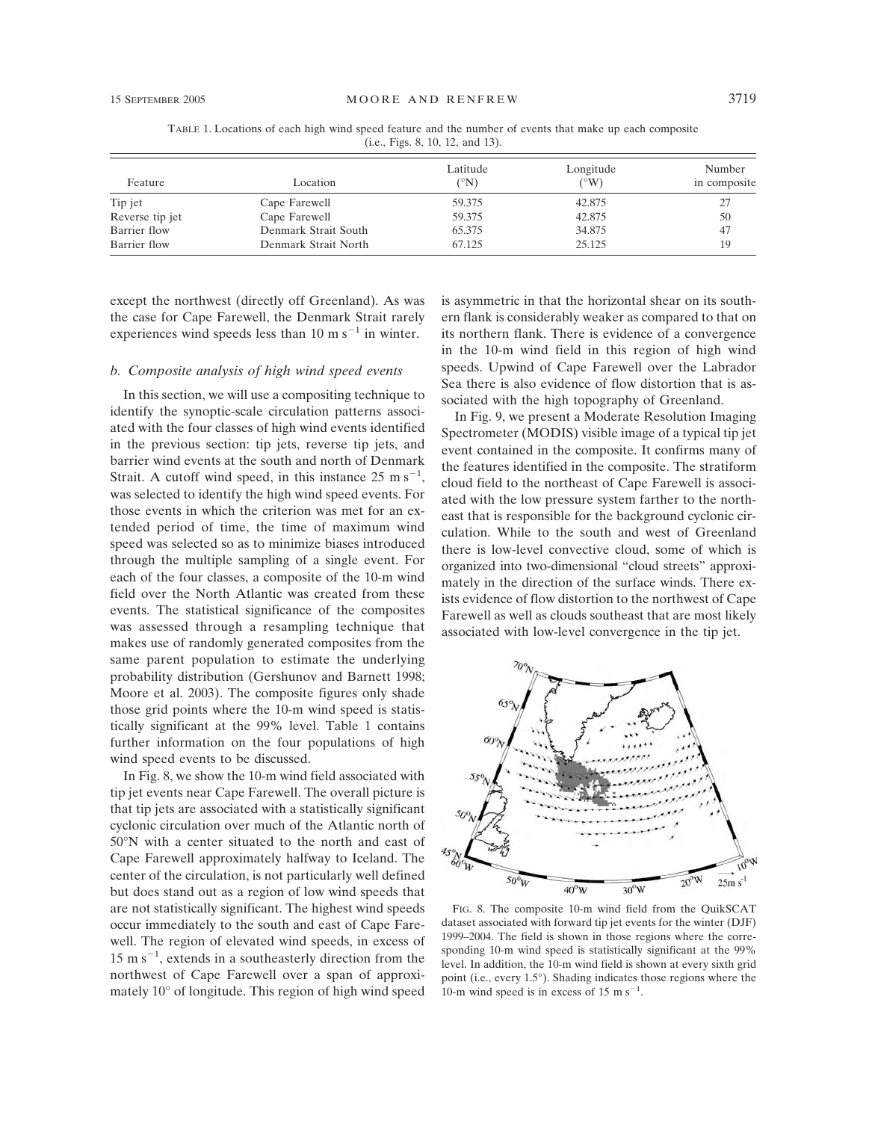TABLE 1. Locations of each high wind speed feature and the number of events that make up each composite (i.e., Figs. 8, 10, 12, and 13).

| Feature         | Location             | Latitude<br>(°N) | Longitude<br>$(^{\circ}W)$ | Number<br>in composite |
|-----------------|----------------------|------------------|----------------------------|------------------------|
| Tip jet         | Cape Farewell        | 59.375           | 42.875                     |                        |
| Reverse tip jet | Cape Farewell        | 59.375           | 42.875                     | 50                     |
| Barrier flow    | Denmark Strait South | 65.375           | 34.875                     | 47                     |
| Barrier flow    | Denmark Strait North | 67.125           | 25.125                     | 19                     |

except the northwest (directly off Greenland). As was the case for Cape Farewell, the Denmark Strait rarely experiences wind speeds less than 10 m  $s^{-1}$  in winter.

### *b. Composite analysis of high wind speed events*

In this section, we will use a compositing technique to identify the synoptic-scale circulation patterns associated with the four classes of high wind events identified in the previous section: tip jets, reverse tip jets, and barrier wind events at the south and north of Denmark Strait. A cutoff wind speed, in this instance  $25 \text{ m s}^{-1}$ , was selected to identify the high wind speed events. For those events in which the criterion was met for an extended period of time, the time of maximum wind speed was selected so as to minimize biases introduced through the multiple sampling of a single event. For each of the four classes, a composite of the 10-m wind field over the North Atlantic was created from these events. The statistical significance of the composites was assessed through a resampling technique that makes use of randomly generated composites from the same parent population to estimate the underlying probability distribution (Gershunov and Barnett 1998; Moore et al. 2003). The composite figures only shade those grid points where the 10-m wind speed is statistically significant at the 99% level. Table 1 contains further information on the four populations of high wind speed events to be discussed.

In Fig. 8, we show the 10-m wind field associated with tip jet events near Cape Farewell. The overall picture is that tip jets are associated with a statistically significant cyclonic circulation over much of the Atlantic north of 50°N with a center situated to the north and east of Cape Farewell approximately halfway to Iceland. The center of the circulation, is not particularly well defined but does stand out as a region of low wind speeds that are not statistically significant. The highest wind speeds occur immediately to the south and east of Cape Farewell. The region of elevated wind speeds, in excess of 15 m  $s^{-1}$ , extends in a southeasterly direction from the northwest of Cape Farewell over a span of approximately 10° of longitude. This region of high wind speed is asymmetric in that the horizontal shear on its southern flank is considerably weaker as compared to that on its northern flank. There is evidence of a convergence in the 10-m wind field in this region of high wind speeds. Upwind of Cape Farewell over the Labrador Sea there is also evidence of flow distortion that is associated with the high topography of Greenland.

In Fig. 9, we present a Moderate Resolution Imaging Spectrometer (MODIS) visible image of a typical tip jet event contained in the composite. It confirms many of the features identified in the composite. The stratiform cloud field to the northeast of Cape Farewell is associated with the low pressure system farther to the northeast that is responsible for the background cyclonic circulation. While to the south and west of Greenland there is low-level convective cloud, some of which is organized into two-dimensional "cloud streets" approximately in the direction of the surface winds. There exists evidence of flow distortion to the northwest of Cape Farewell as well as clouds southeast that are most likely associated with low-level convergence in the tip jet.



FIG. 8. The composite 10-m wind field from the QuikSCAT dataset associated with forward tip jet events for the winter (DJF) 1999–2004. The field is shown in those regions where the corresponding 10-m wind speed is statistically significant at the 99% level. In addition, the 10-m wind field is shown at every sixth grid point (i.e., every 1.5°). Shading indicates those regions where the 10-m wind speed is in excess of 15 m  $s^{-1}$ .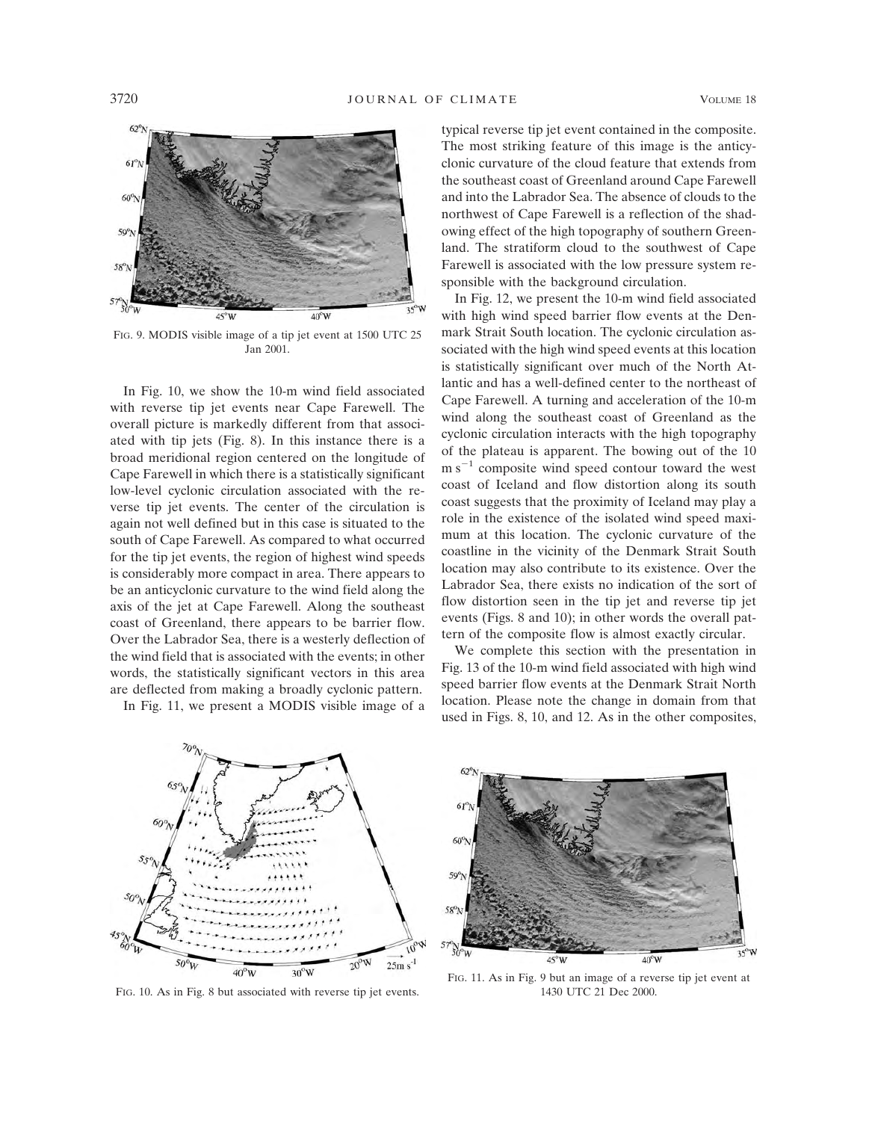

FIG. 9. MODIS visible image of a tip jet event at 1500 UTC 25 Jan 2001.

In Fig. 10, we show the 10-m wind field associated with reverse tip jet events near Cape Farewell. The overall picture is markedly different from that associated with tip jets (Fig. 8). In this instance there is a broad meridional region centered on the longitude of Cape Farewell in which there is a statistically significant low-level cyclonic circulation associated with the reverse tip jet events. The center of the circulation is again not well defined but in this case is situated to the south of Cape Farewell. As compared to what occurred for the tip jet events, the region of highest wind speeds is considerably more compact in area. There appears to be an anticyclonic curvature to the wind field along the axis of the jet at Cape Farewell. Along the southeast coast of Greenland, there appears to be barrier flow. Over the Labrador Sea, there is a westerly deflection of the wind field that is associated with the events; in other words, the statistically significant vectors in this area are deflected from making a broadly cyclonic pattern.

In Fig. 11, we present a MODIS visible image of a

typical reverse tip jet event contained in the composite. The most striking feature of this image is the anticyclonic curvature of the cloud feature that extends from the southeast coast of Greenland around Cape Farewell and into the Labrador Sea. The absence of clouds to the northwest of Cape Farewell is a reflection of the shadowing effect of the high topography of southern Greenland. The stratiform cloud to the southwest of Cape Farewell is associated with the low pressure system responsible with the background circulation.

In Fig. 12, we present the 10-m wind field associated with high wind speed barrier flow events at the Denmark Strait South location. The cyclonic circulation associated with the high wind speed events at this location is statistically significant over much of the North Atlantic and has a well-defined center to the northeast of Cape Farewell. A turning and acceleration of the 10-m wind along the southeast coast of Greenland as the cyclonic circulation interacts with the high topography of the plateau is apparent. The bowing out of the 10  $m s^{-1}$  composite wind speed contour toward the west coast of Iceland and flow distortion along its south coast suggests that the proximity of Iceland may play a role in the existence of the isolated wind speed maximum at this location. The cyclonic curvature of the coastline in the vicinity of the Denmark Strait South location may also contribute to its existence. Over the Labrador Sea, there exists no indication of the sort of flow distortion seen in the tip jet and reverse tip jet events (Figs. 8 and 10); in other words the overall pattern of the composite flow is almost exactly circular.

We complete this section with the presentation in Fig. 13 of the 10-m wind field associated with high wind speed barrier flow events at the Denmark Strait North location. Please note the change in domain from that used in Figs. 8, 10, and 12. As in the other composites,



FIG. 10. As in Fig. 8 but associated with reverse tip jet events.



FIG. 11. As in Fig. 9 but an image of a reverse tip jet event at 1430 UTC 21 Dec 2000.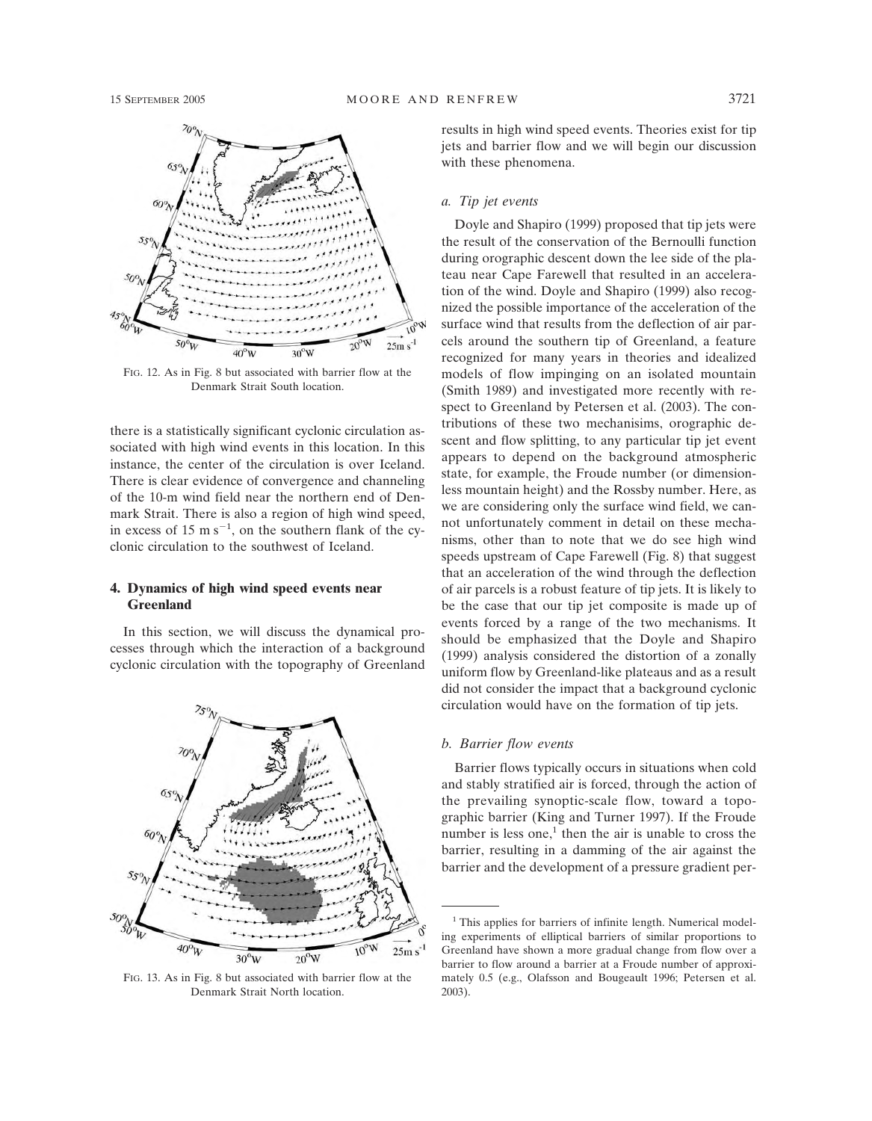

FIG. 12. As in Fig. 8 but associated with barrier flow at the Denmark Strait South location.

there is a statistically significant cyclonic circulation associated with high wind events in this location. In this instance, the center of the circulation is over Iceland. There is clear evidence of convergence and channeling of the 10-m wind field near the northern end of Denmark Strait. There is also a region of high wind speed, in excess of 15 m  $s^{-1}$ , on the southern flank of the cyclonic circulation to the southwest of Iceland.

#### **4. Dynamics of high wind speed events near Greenland**

In this section, we will discuss the dynamical processes through which the interaction of a background cyclonic circulation with the topography of Greenland



FIG. 13. As in Fig. 8 but associated with barrier flow at the Denmark Strait North location.

results in high wind speed events. Theories exist for tip jets and barrier flow and we will begin our discussion with these phenomena.

### *a. Tip jet events*

Doyle and Shapiro (1999) proposed that tip jets were the result of the conservation of the Bernoulli function during orographic descent down the lee side of the plateau near Cape Farewell that resulted in an acceleration of the wind. Doyle and Shapiro (1999) also recognized the possible importance of the acceleration of the surface wind that results from the deflection of air parcels around the southern tip of Greenland, a feature recognized for many years in theories and idealized models of flow impinging on an isolated mountain (Smith 1989) and investigated more recently with respect to Greenland by Petersen et al. (2003). The contributions of these two mechanisims, orographic descent and flow splitting, to any particular tip jet event appears to depend on the background atmospheric state, for example, the Froude number (or dimensionless mountain height) and the Rossby number. Here, as we are considering only the surface wind field, we cannot unfortunately comment in detail on these mechanisms, other than to note that we do see high wind speeds upstream of Cape Farewell (Fig. 8) that suggest that an acceleration of the wind through the deflection of air parcels is a robust feature of tip jets. It is likely to be the case that our tip jet composite is made up of events forced by a range of the two mechanisms. It should be emphasized that the Doyle and Shapiro (1999) analysis considered the distortion of a zonally uniform flow by Greenland-like plateaus and as a result did not consider the impact that a background cyclonic circulation would have on the formation of tip jets.

#### *b. Barrier flow events*

Barrier flows typically occurs in situations when cold and stably stratified air is forced, through the action of the prevailing synoptic-scale flow, toward a topographic barrier (King and Turner 1997). If the Froude number is less one, $<sup>1</sup>$  then the air is unable to cross the</sup> barrier, resulting in a damming of the air against the barrier and the development of a pressure gradient per-

<sup>&</sup>lt;sup>1</sup> This applies for barriers of infinite length. Numerical modeling experiments of elliptical barriers of similar proportions to Greenland have shown a more gradual change from flow over a barrier to flow around a barrier at a Froude number of approximately 0.5 (e.g., Olafsson and Bougeault 1996; Petersen et al. 2003).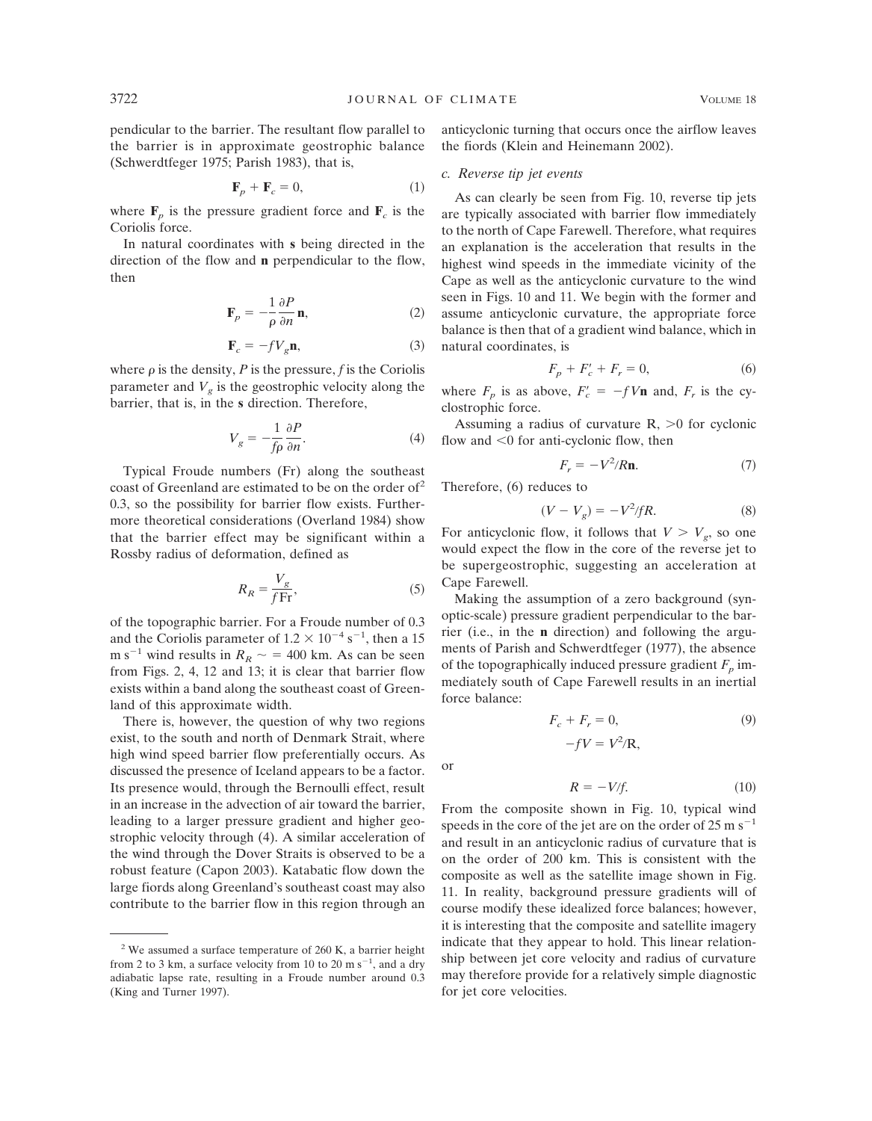pendicular to the barrier. The resultant flow parallel to the barrier is in approximate geostrophic balance (Schwerdtfeger 1975; Parish 1983), that is,

$$
\mathbf{F}_p + \mathbf{F}_c = 0,\tag{1}
$$

where  $\mathbf{F}_p$  is the pressure gradient force and  $\mathbf{F}_c$  is the Coriolis force.

In natural coordinates with **s** being directed in the direction of the flow and **n** perpendicular to the flow, then

$$
\mathbf{F}_p = -\frac{1}{\rho} \frac{\partial P}{\partial n} \mathbf{n},\tag{2}
$$

$$
\mathbf{F}_c = -fV_g \mathbf{n},\tag{3}
$$

where  $\rho$  is the density,  $P$  is the pressure,  $f$  is the Coriolis parameter and  $V_{\varphi}$  is the geostrophic velocity along the barrier, that is, in the **s** direction. Therefore,

$$
V_g = -\frac{1}{f\rho} \frac{\partial P}{\partial n}.\tag{4}
$$

Typical Froude numbers (Fr) along the southeast coast of Greenland are estimated to be on the order of<sup>2</sup> 0.3, so the possibility for barrier flow exists. Furthermore theoretical considerations (Overland 1984) show that the barrier effect may be significant within a Rossby radius of deformation, defined as

$$
R_R = \frac{V_g}{f \text{Fr}},\tag{5}
$$

of the topographic barrier. For a Froude number of 0.3 and the Coriolis parameter of  $1.2 \times 10^{-4}$  s<sup>-1</sup>, then a 15 m s<sup>-1</sup> wind results in  $R_R \sim$  = 400 km. As can be seen from Figs. 2, 4, 12 and 13; it is clear that barrier flow exists within a band along the southeast coast of Greenland of this approximate width.

There is, however, the question of why two regions exist, to the south and north of Denmark Strait, where high wind speed barrier flow preferentially occurs. As discussed the presence of Iceland appears to be a factor. Its presence would, through the Bernoulli effect, result in an increase in the advection of air toward the barrier, leading to a larger pressure gradient and higher geostrophic velocity through (4). A similar acceleration of the wind through the Dover Straits is observed to be a robust feature (Capon 2003). Katabatic flow down the large fiords along Greenland's southeast coast may also contribute to the barrier flow in this region through an

anticyclonic turning that occurs once the airflow leaves the fiords (Klein and Heinemann 2002).

#### *c. Reverse tip jet events*

As can clearly be seen from Fig. 10, reverse tip jets are typically associated with barrier flow immediately to the north of Cape Farewell. Therefore, what requires an explanation is the acceleration that results in the highest wind speeds in the immediate vicinity of the Cape as well as the anticyclonic curvature to the wind seen in Figs. 10 and 11. We begin with the former and assume anticyclonic curvature, the appropriate force balance is then that of a gradient wind balance, which in natural coordinates, is

$$
F_p + F'_c + F_r = 0,
$$
 (6)

where  $F_p$  is as above,  $F'_c = -fV\mathbf{n}$  and,  $F_r$  is the cyclostrophic force.

Assuming a radius of curvature  $R$ ,  $>0$  for cyclonic flow and  $\leq 0$  for anti-cyclonic flow, then

$$
F_r = -V^2/R\mathbf{n}.\tag{7}
$$

Therefore, (6) reduces to

$$
(V - V_g) = -V^2/fR.
$$
 (8)

For anticyclonic flow, it follows that  $V > V_g$ , so one would expect the flow in the core of the reverse jet to be supergeostrophic, suggesting an acceleration at Cape Farewell.

Making the assumption of a zero background (synoptic-scale) pressure gradient perpendicular to the barrier (i.e., in the **n** direction) and following the arguments of Parish and Schwerdtfeger (1977), the absence of the topographically induced pressure gradient  $F_p$  immediately south of Cape Farewell results in an inertial force balance:

$$
F_c + F_r = 0,
$$
  

$$
-fV = V^2/R,
$$
 (9)

or

$$
R = -V/f.
$$
 (10)

From the composite shown in Fig. 10, typical wind speeds in the core of the jet are on the order of  $25 \text{ m s}^{-1}$ and result in an anticyclonic radius of curvature that is on the order of 200 km. This is consistent with the composite as well as the satellite image shown in Fig. 11. In reality, background pressure gradients will of course modify these idealized force balances; however, it is interesting that the composite and satellite imagery indicate that they appear to hold. This linear relationship between jet core velocity and radius of curvature may therefore provide for a relatively simple diagnostic for jet core velocities.

 $2$  We assumed a surface temperature of 260 K, a barrier height from 2 to 3 km, a surface velocity from 10 to 20 m  $s^{-1}$ , and a dry adiabatic lapse rate, resulting in a Froude number around 0.3 (King and Turner 1997).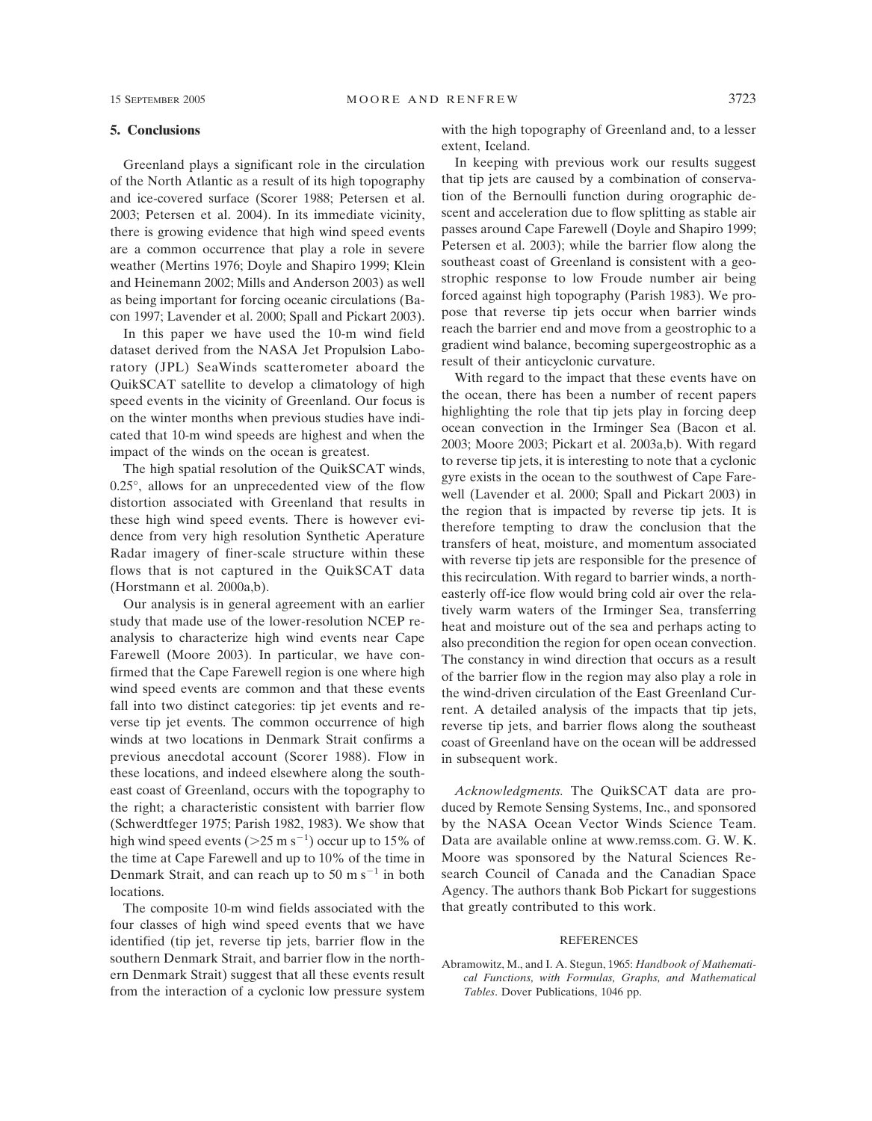#### **5. Conclusions**

Greenland plays a significant role in the circulation of the North Atlantic as a result of its high topography and ice-covered surface (Scorer 1988; Petersen et al. 2003; Petersen et al. 2004). In its immediate vicinity, there is growing evidence that high wind speed events are a common occurrence that play a role in severe weather (Mertins 1976; Doyle and Shapiro 1999; Klein and Heinemann 2002; Mills and Anderson 2003) as well as being important for forcing oceanic circulations (Bacon 1997; Lavender et al. 2000; Spall and Pickart 2003).

In this paper we have used the 10-m wind field dataset derived from the NASA Jet Propulsion Laboratory (JPL) SeaWinds scatterometer aboard the QuikSCAT satellite to develop a climatology of high speed events in the vicinity of Greenland. Our focus is on the winter months when previous studies have indicated that 10-m wind speeds are highest and when the impact of the winds on the ocean is greatest.

The high spatial resolution of the QuikSCAT winds, 0.25°, allows for an unprecedented view of the flow distortion associated with Greenland that results in these high wind speed events. There is however evidence from very high resolution Synthetic Aperature Radar imagery of finer-scale structure within these flows that is not captured in the QuikSCAT data (Horstmann et al. 2000a,b).

Our analysis is in general agreement with an earlier study that made use of the lower-resolution NCEP reanalysis to characterize high wind events near Cape Farewell (Moore 2003). In particular, we have confirmed that the Cape Farewell region is one where high wind speed events are common and that these events fall into two distinct categories: tip jet events and reverse tip jet events. The common occurrence of high winds at two locations in Denmark Strait confirms a previous anecdotal account (Scorer 1988). Flow in these locations, and indeed elsewhere along the southeast coast of Greenland, occurs with the topography to the right; a characteristic consistent with barrier flow (Schwerdtfeger 1975; Parish 1982, 1983). We show that high wind speed events  $(>=25 \text{ m s}^{-1})$  occur up to 15% of the time at Cape Farewell and up to 10% of the time in Denmark Strait, and can reach up to 50 m s<sup>-1</sup> in both locations.

The composite 10-m wind fields associated with the four classes of high wind speed events that we have identified (tip jet, reverse tip jets, barrier flow in the southern Denmark Strait, and barrier flow in the northern Denmark Strait) suggest that all these events result from the interaction of a cyclonic low pressure system

with the high topography of Greenland and, to a lesser extent, Iceland.

In keeping with previous work our results suggest that tip jets are caused by a combination of conservation of the Bernoulli function during orographic descent and acceleration due to flow splitting as stable air passes around Cape Farewell (Doyle and Shapiro 1999; Petersen et al. 2003); while the barrier flow along the southeast coast of Greenland is consistent with a geostrophic response to low Froude number air being forced against high topography (Parish 1983). We propose that reverse tip jets occur when barrier winds reach the barrier end and move from a geostrophic to a gradient wind balance, becoming supergeostrophic as a result of their anticyclonic curvature.

With regard to the impact that these events have on the ocean, there has been a number of recent papers highlighting the role that tip jets play in forcing deep ocean convection in the Irminger Sea (Bacon et al. 2003; Moore 2003; Pickart et al. 2003a,b). With regard to reverse tip jets, it is interesting to note that a cyclonic gyre exists in the ocean to the southwest of Cape Farewell (Lavender et al. 2000; Spall and Pickart 2003) in the region that is impacted by reverse tip jets. It is therefore tempting to draw the conclusion that the transfers of heat, moisture, and momentum associated with reverse tip jets are responsible for the presence of this recirculation. With regard to barrier winds, a northeasterly off-ice flow would bring cold air over the relatively warm waters of the Irminger Sea, transferring heat and moisture out of the sea and perhaps acting to also precondition the region for open ocean convection. The constancy in wind direction that occurs as a result of the barrier flow in the region may also play a role in the wind-driven circulation of the East Greenland Current. A detailed analysis of the impacts that tip jets, reverse tip jets, and barrier flows along the southeast coast of Greenland have on the ocean will be addressed in subsequent work.

*Acknowledgments.* The QuikSCAT data are produced by Remote Sensing Systems, Inc., and sponsored by the NASA Ocean Vector Winds Science Team. Data are available online at www.remss.com. G. W. K. Moore was sponsored by the Natural Sciences Research Council of Canada and the Canadian Space Agency. The authors thank Bob Pickart for suggestions that greatly contributed to this work.

#### REFERENCES

Abramowitz, M., and I. A. Stegun, 1965: *Handbook of Mathematical Functions, with Formulas, Graphs, and Mathematical Tables*. Dover Publications, 1046 pp.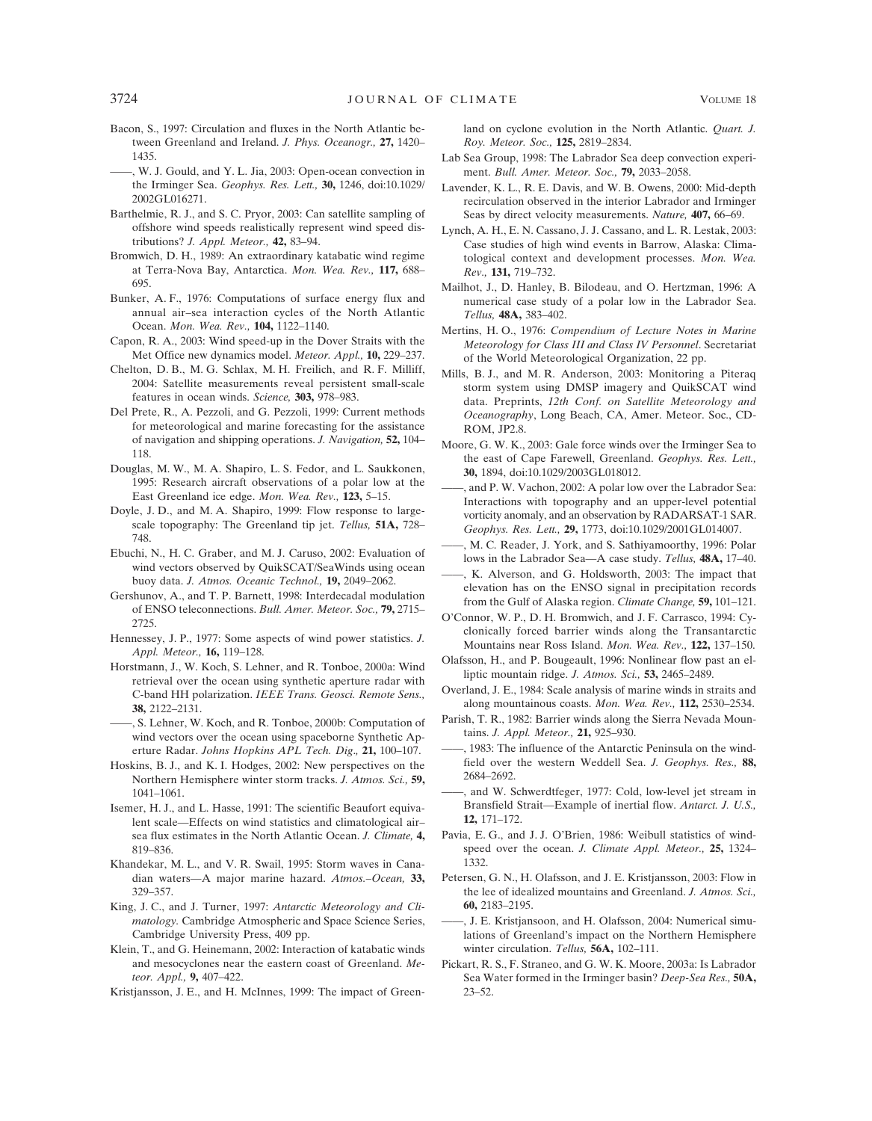- Bacon, S., 1997: Circulation and fluxes in the North Atlantic between Greenland and Ireland. *J. Phys. Oceanogr.,* **27,** 1420– 1435.
- W. J. Gould, and Y. L. Jia, 2003: Open-ocean convection in the Irminger Sea. *Geophys. Res. Lett.,* **30,** 1246, doi:10.1029/ 2002GL016271.
- Barthelmie, R. J., and S. C. Pryor, 2003: Can satellite sampling of offshore wind speeds realistically represent wind speed distributions? *J. Appl. Meteor.,* **42,** 83–94.
- Bromwich, D. H., 1989: An extraordinary katabatic wind regime at Terra-Nova Bay, Antarctica. *Mon. Wea. Rev.,* **117,** 688– 695.
- Bunker, A. F., 1976: Computations of surface energy flux and annual air–sea interaction cycles of the North Atlantic Ocean. *Mon. Wea. Rev.,* **104,** 1122–1140.
- Capon, R. A., 2003: Wind speed-up in the Dover Straits with the Met Office new dynamics model. *Meteor. Appl.,* **10,** 229–237.
- Chelton, D. B., M. G. Schlax, M. H. Freilich, and R. F. Milliff, 2004: Satellite measurements reveal persistent small-scale features in ocean winds. *Science,* **303,** 978–983.
- Del Prete, R., A. Pezzoli, and G. Pezzoli, 1999: Current methods for meteorological and marine forecasting for the assistance of navigation and shipping operations. *J. Navigation,* **52,** 104– 118.
- Douglas, M. W., M. A. Shapiro, L. S. Fedor, and L. Saukkonen, 1995: Research aircraft observations of a polar low at the East Greenland ice edge. *Mon. Wea. Rev.,* **123,** 5–15.
- Doyle, J. D., and M. A. Shapiro, 1999: Flow response to largescale topography: The Greenland tip jet. *Tellus,* **51A,** 728– 748.
- Ebuchi, N., H. C. Graber, and M. J. Caruso, 2002: Evaluation of wind vectors observed by QuikSCAT/SeaWinds using ocean buoy data. *J. Atmos. Oceanic Technol.,* **19,** 2049–2062.
- Gershunov, A., and T. P. Barnett, 1998: Interdecadal modulation of ENSO teleconnections. *Bull. Amer. Meteor. Soc.,* **79,** 2715– 2725.
- Hennessey, J. P., 1977: Some aspects of wind power statistics. *J. Appl. Meteor.,* **16,** 119–128.
- Horstmann, J., W. Koch, S. Lehner, and R. Tonboe, 2000a: Wind retrieval over the ocean using synthetic aperture radar with C-band HH polarization. *IEEE Trans. Geosci. Remote Sens.,* **38,** 2122–2131.
- ——, S. Lehner, W. Koch, and R. Tonboe, 2000b: Computation of wind vectors over the ocean using spaceborne Synthetic Aperture Radar. *Johns Hopkins APL Tech. Dig*.*,* **21,** 100–107.
- Hoskins, B. J., and K. I. Hodges, 2002: New perspectives on the Northern Hemisphere winter storm tracks. *J. Atmos. Sci.,* **59,** 1041–1061.
- Isemer, H. J., and L. Hasse, 1991: The scientific Beaufort equivalent scale—Effects on wind statistics and climatological air– sea flux estimates in the North Atlantic Ocean. *J. Climate,* **4,** 819–836.
- Khandekar, M. L., and V. R. Swail, 1995: Storm waves in Canadian waters—A major marine hazard. *Atmos.–Ocean,* **33,** 329–357.
- King, J. C., and J. Turner, 1997: *Antarctic Meteorology and Climatology.* Cambridge Atmospheric and Space Science Series, Cambridge University Press, 409 pp.
- Klein, T., and G. Heinemann, 2002: Interaction of katabatic winds and mesocyclones near the eastern coast of Greenland. *Meteor. Appl.,* **9,** 407–422.
- Kristjansson, J. E., and H. McInnes, 1999: The impact of Green-

land on cyclone evolution in the North Atlantic. *Quart. J. Roy. Meteor. Soc.,* **125,** 2819–2834.

- Lab Sea Group, 1998: The Labrador Sea deep convection experiment. *Bull. Amer. Meteor. Soc.,* **79,** 2033–2058.
- Lavender, K. L., R. E. Davis, and W. B. Owens, 2000: Mid-depth recirculation observed in the interior Labrador and Irminger Seas by direct velocity measurements. *Nature,* **407,** 66–69.
- Lynch, A. H., E. N. Cassano, J. J. Cassano, and L. R. Lestak, 2003: Case studies of high wind events in Barrow, Alaska: Climatological context and development processes. *Mon. Wea. Rev.,* **131,** 719–732.
- Mailhot, J., D. Hanley, B. Bilodeau, and O. Hertzman, 1996: A numerical case study of a polar low in the Labrador Sea. *Tellus,* **48A,** 383–402.
- Mertins, H. O., 1976: *Compendium of Lecture Notes in Marine Meteorology for Class III and Class IV Personnel*. Secretariat of the World Meteorological Organization, 22 pp.
- Mills, B. J., and M. R. Anderson, 2003: Monitoring a Piteraq storm system using DMSP imagery and QuikSCAT wind data. Preprints, *12th Conf. on Satellite Meteorology and Oceanography*, Long Beach, CA, Amer. Meteor. Soc., CD-ROM, JP2.8.
- Moore, G. W. K., 2003: Gale force winds over the Irminger Sea to the east of Cape Farewell, Greenland. *Geophys. Res. Lett.,* **30,** 1894, doi:10.1029/2003GL018012.
- , and P. W. Vachon, 2002: A polar low over the Labrador Sea: Interactions with topography and an upper-level potential vorticity anomaly, and an observation by RADARSAT-1 SAR. *Geophys. Res. Lett.,* **29,** 1773, doi:10.1029/2001GL014007.
- ——, M. C. Reader, J. York, and S. Sathiyamoorthy, 1996: Polar lows in the Labrador Sea—A case study. *Tellus,* **48A,** 17–40.
- ——, K. Alverson, and G. Holdsworth, 2003: The impact that elevation has on the ENSO signal in precipitation records from the Gulf of Alaska region. *Climate Change,* **59,** 101–121.
- O'Connor, W. P., D. H. Bromwich, and J. F. Carrasco, 1994: Cyclonically forced barrier winds along the Transantarctic Mountains near Ross Island. *Mon. Wea. Rev.,* **122,** 137–150.
- Olafsson, H., and P. Bougeault, 1996: Nonlinear flow past an elliptic mountain ridge. *J. Atmos. Sci.,* **53,** 2465–2489.
- Overland, J. E., 1984: Scale analysis of marine winds in straits and along mountainous coasts. *Mon. Wea. Rev.,* **112,** 2530–2534.
- Parish, T. R., 1982: Barrier winds along the Sierra Nevada Mountains. *J. Appl. Meteor.,* **21,** 925–930.
- -, 1983: The influence of the Antarctic Peninsula on the windfield over the western Weddell Sea. *J. Geophys. Res.,* **88,** 2684–2692.
- ——, and W. Schwerdtfeger, 1977: Cold, low-level jet stream in Bransfield Strait—Example of inertial flow. *Antarct. J. U.S.,* **12,** 171–172.
- Pavia, E. G., and J. J. O'Brien, 1986: Weibull statistics of windspeed over the ocean. *J. Climate Appl. Meteor.,* **25,** 1324– 1332.
- Petersen, G. N., H. Olafsson, and J. E. Kristjansson, 2003: Flow in the lee of idealized mountains and Greenland. *J. Atmos. Sci.,* **60,** 2183–2195.
- ——, J. E. Kristjansoon, and H. Olafsson, 2004: Numerical simulations of Greenland's impact on the Northern Hemisphere winter circulation. *Tellus,* **56A,** 102–111.
- Pickart, R. S., F. Straneo, and G. W. K. Moore, 2003a: Is Labrador Sea Water formed in the Irminger basin? *Deep-Sea Res.,* **50A,** 23–52.